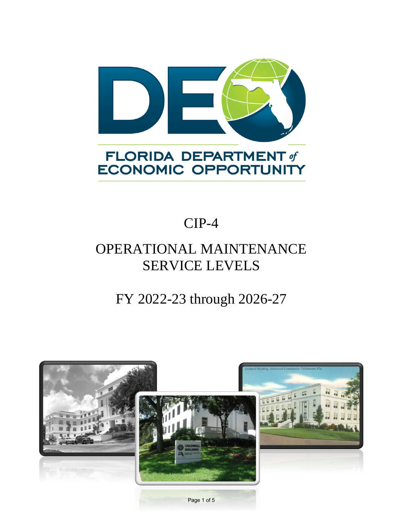

# **ECONOMIC OPPORTUNITY**

## CIP-4

### OPERATIONAL MAINTENANCE SERVICE LEVELS

#### FY 2022-23 through 2026-27



Page 1 of 5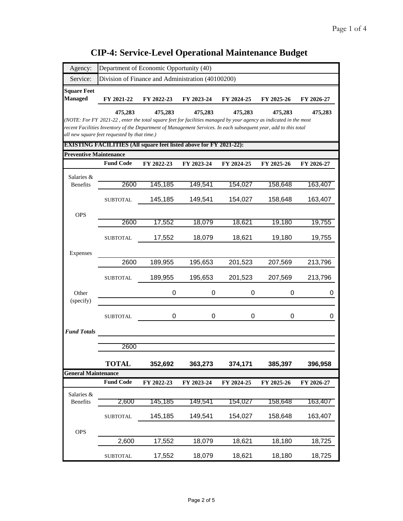| Agency:                       | Department of Economic Opportunity (40)                                                                                                                          |            |            |            |            |            |
|-------------------------------|------------------------------------------------------------------------------------------------------------------------------------------------------------------|------------|------------|------------|------------|------------|
| Service:                      | Division of Finance and Administration (40100200)                                                                                                                |            |            |            |            |            |
| <b>Square Feet</b>            |                                                                                                                                                                  |            |            |            |            |            |
| <b>Managed</b>                | FY 2021-22                                                                                                                                                       | FY 2022-23 | FY 2023-24 | FY 2024-25 | FY 2025-26 | FY 2026-27 |
|                               | 475,283                                                                                                                                                          | 475,283    | 475,283    | 475,283    | 475,283    | 475,283    |
|                               | (NOTE: For FY 2021-22, enter the total square feet for facilities managed by your agency as indicated in the most                                                |            |            |            |            |            |
|                               | recent Facilities Inventory of the Department of Management Services. In each subsequent year, add to this total<br>all new square feet requested by that time.) |            |            |            |            |            |
|                               | <b>EXISTING FACILITIES (All square feet listed above for FY 2021-22):</b>                                                                                        |            |            |            |            |            |
| <b>Preventive Maintenance</b> |                                                                                                                                                                  |            |            |            |            |            |
|                               | <b>Fund Code</b>                                                                                                                                                 | FY 2022-23 | FY 2023-24 | FY 2024-25 | FY 2025-26 | FY 2026-27 |
| Salaries &                    |                                                                                                                                                                  |            |            |            |            |            |
| <b>Benefits</b>               | 2600                                                                                                                                                             | 145,185    | 149,541    | 154,027    | 158,648    | 163,407    |
|                               | <b>SUBTOTAL</b>                                                                                                                                                  | 145,185    | 149,541    | 154,027    | 158,648    | 163,407    |
| <b>OPS</b>                    |                                                                                                                                                                  |            |            |            |            |            |
|                               | 2600                                                                                                                                                             | 17,552     | 18,079     | 18,621     | 19,180     | 19,755     |
|                               | <b>SUBTOTAL</b>                                                                                                                                                  | 17,552     | 18,079     | 18,621     | 19,180     | 19,755     |
|                               |                                                                                                                                                                  |            |            |            |            |            |
| Expenses                      |                                                                                                                                                                  |            |            |            |            |            |
|                               | 2600                                                                                                                                                             | 189,955    | 195,653    | 201,523    | 207,569    | 213,796    |
|                               | <b>SUBTOTAL</b>                                                                                                                                                  | 189,955    | 195,653    | 201,523    | 207,569    | 213,796    |
| Other                         |                                                                                                                                                                  | 0          | 0          | 0          | 0          | 0          |
| (specify)                     |                                                                                                                                                                  |            |            |            |            |            |
|                               | <b>SUBTOTAL</b>                                                                                                                                                  | 0          | 0          | 0          | 0          | 0          |
| <b>Fund Totals</b>            |                                                                                                                                                                  |            |            |            |            |            |
|                               |                                                                                                                                                                  |            |            |            |            |            |
|                               | 2600                                                                                                                                                             |            |            |            |            |            |
|                               | <b>TOTAL</b>                                                                                                                                                     | 352,692    | 363,273    | 374,171    | 385,397    | 396,958    |
| <b>General Maintenance</b>    |                                                                                                                                                                  |            |            |            |            |            |
|                               | <b>Fund Code</b>                                                                                                                                                 | FY 2022-23 | FY 2023-24 | FY 2024-25 | FY 2025-26 | FY 2026-27 |
| Salaries &                    |                                                                                                                                                                  |            |            |            |            |            |
| <b>Benefits</b>               | 2,600                                                                                                                                                            | 145,185    | 149,541    | 154,027    | 158,648    | 163,407    |
|                               | <b>SUBTOTAL</b>                                                                                                                                                  | 145,185    | 149,541    | 154,027    | 158,648    | 163,407    |
| <b>OPS</b>                    |                                                                                                                                                                  |            |            |            |            |            |
|                               | 2,600                                                                                                                                                            | 17,552     | 18,079     | 18,621     | 18,180     | 18,725     |
|                               | <b>SUBTOTAL</b>                                                                                                                                                  | 17,552     | 18,079     | 18,621     | 18,180     | 18,725     |

#### **CIP-4: Service-Level Operational Maintenance Budget**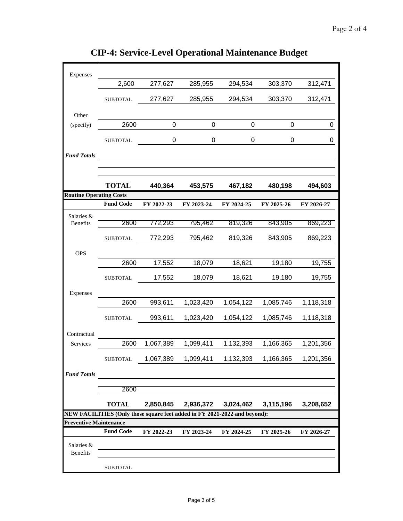| Expenses                       |                                                                           |             |             |             |             |            |  |
|--------------------------------|---------------------------------------------------------------------------|-------------|-------------|-------------|-------------|------------|--|
|                                | 2,600                                                                     | 277,627     | 285,955     | 294,534     | 303,370     | 312,471    |  |
|                                | <b>SUBTOTAL</b>                                                           | 277,627     | 285,955     | 294,534     | 303,370     | 312,471    |  |
| Other                          |                                                                           |             |             |             |             |            |  |
| (specify)                      | 2600                                                                      | $\mathbf 0$ | $\mathbf 0$ | $\mathbf 0$ | $\mathbf 0$ | 0          |  |
|                                | <b>SUBTOTAL</b>                                                           | 0           | 0           | 0           | 0           | 0          |  |
| <b>Fund Totals</b>             |                                                                           |             |             |             |             |            |  |
|                                |                                                                           |             |             |             |             |            |  |
| <b>Routine Operating Costs</b> | <b>TOTAL</b>                                                              | 440,364     | 453,575     | 467,182     | 480,198     | 494,603    |  |
|                                | <b>Fund Code</b>                                                          | FY 2022-23  | FY 2023-24  | FY 2024-25  | FY 2025-26  | FY 2026-27 |  |
| Salaries &                     |                                                                           |             |             |             |             |            |  |
| <b>Benefits</b>                | 2600                                                                      | 772,293     | 795,462     | 819,326     | 843,905     | 869,223    |  |
|                                | <b>SUBTOTAL</b>                                                           | 772,293     | 795,462     | 819,326     | 843,905     | 869,223    |  |
| <b>OPS</b>                     |                                                                           |             |             |             |             |            |  |
|                                | 2600                                                                      | 17,552      | 18,079      | 18,621      | 19,180      | 19,755     |  |
|                                | <b>SUBTOTAL</b>                                                           | 17,552      | 18,079      | 18,621      | 19,180      | 19,755     |  |
| Expenses                       |                                                                           |             |             |             |             |            |  |
|                                | 2600                                                                      | 993,611     | 1,023,420   | 1,054,122   | 1,085,746   | 1,118,318  |  |
|                                | <b>SUBTOTAL</b>                                                           | 993,611     | 1,023,420   | 1,054,122   | 1,085,746   | 1,118,318  |  |
| Contractual                    |                                                                           |             |             |             |             |            |  |
| Services                       | 2600                                                                      | 1,067,389   | 1,099,411   | 1,132,393   | 1,166,365   | 1,201,356  |  |
|                                | <b>SUBTOTAL</b>                                                           | 1,067,389   | 1,099,411   | 1,132,393   | 1,166,365   | 1,201,356  |  |
| <b>Fund Totals</b>             |                                                                           |             |             |             |             |            |  |
|                                | 2600                                                                      |             |             |             |             |            |  |
|                                | <b>TOTAL</b>                                                              | 2,850,845   | 2,936,372   | 3,024,462   | 3,115,196   | 3,208,652  |  |
|                                | NEW FACILITIES (Only those square feet added in FY 2021-2022-and beyond): |             |             |             |             |            |  |
| <b>Preventive Maintenance</b>  |                                                                           |             |             |             |             |            |  |
|                                | <b>Fund Code</b>                                                          | FY 2022-23  | FY 2023-24  | FY 2024-25  | FY 2025-26  | FY 2026-27 |  |
| Salaries &<br>Benefits         |                                                                           |             |             |             |             |            |  |
|                                | <b>SUBTOTAL</b>                                                           |             |             |             |             |            |  |

**CIP-4: Service-Level Operational Maintenance Budget**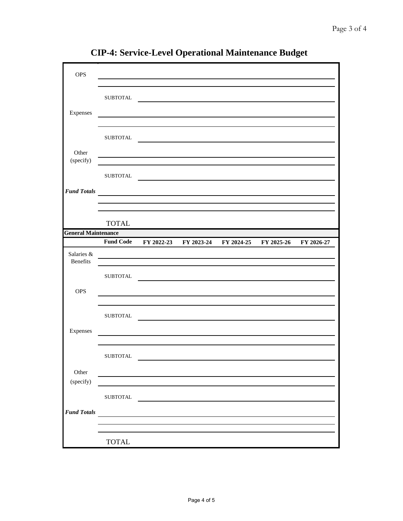| <b>OPS</b>                    |                  |                                                    |                                             |            |
|-------------------------------|------------------|----------------------------------------------------|---------------------------------------------|------------|
|                               | <b>SUBTOTAL</b>  |                                                    |                                             |            |
| Expenses                      |                  |                                                    |                                             |            |
|                               |                  |                                                    |                                             |            |
|                               | <b>SUBTOTAL</b>  |                                                    |                                             |            |
| Other<br>(specify)            |                  |                                                    |                                             |            |
|                               | <b>SUBTOTAL</b>  |                                                    |                                             |            |
| <b>Fund Totals</b>            |                  | <u> 1989 - Andrea State Barbara, amerikan per</u>  |                                             |            |
|                               |                  |                                                    |                                             |            |
|                               | <b>TOTAL</b>     |                                                    |                                             |            |
| <b>General Maintenance</b>    |                  |                                                    |                                             |            |
|                               | <b>Fund Code</b> |                                                    | FY 2022-23 FY 2023-24 FY 2024-25 FY 2025-26 | FY 2026-27 |
| Salaries &<br><b>Benefits</b> |                  | <u> 1989 - Andrea Andrew Maria (h. 1989).</u>      |                                             |            |
|                               | <b>SUBTOTAL</b>  |                                                    |                                             |            |
| <b>OPS</b>                    |                  |                                                    |                                             |            |
|                               | ${\tt SUBTOTAL}$ |                                                    |                                             |            |
| Expenses                      |                  |                                                    |                                             |            |
|                               | <b>SUBTOTAL</b>  |                                                    |                                             |            |
| Other                         |                  |                                                    |                                             |            |
| (specify)                     |                  |                                                    |                                             |            |
|                               | <b>SUBTOTAL</b>  |                                                    |                                             |            |
| <b>Fund Totals</b>            |                  | <u> 1989 - Jan Barbara Barat, prima politik po</u> |                                             |            |
|                               |                  |                                                    |                                             |            |
|                               | TOTAL            |                                                    |                                             |            |

**CIP-4: Service-Level Operational Maintenance Budget**